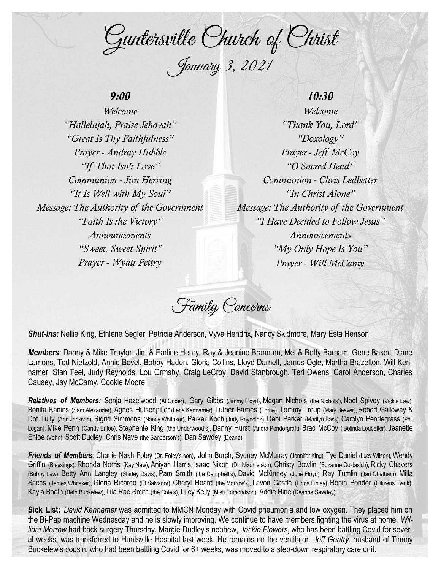Guntersville Church of Christ January 3, 2021

# *9:00*

*Welcome "Hallelujah, Praise Jehovah" "Great Is Thy Faithfulness" Prayer - Andray Hubble "If That Isn't Love" Communion - Jim Herring "It Is Well with My Soul" Message: The Authority of the Government "Faith Is the Victory" Announcements "Sweet, Sweet Spirit" Prayer - Wyatt Pettry*

## *10:30*

*Welcome "Thank You, Lord" "Doxology" Prayer - Jeff McCoy "O Sacred Head" Communion - Chris Ledbetter "In Christ Alone" Message: The Authority of the Government "I Have Decided to Follow Jesus" Announcements "My Only Hope Is You" Prayer - Will McCamy*

Family Concerns

*Shut-ins:* Nellie King, Ethlene Segler, Patricia Anderson, Vyva Hendrix, Nancy Skidmore, Mary Esta Henson

*Members:* Danny & Mike Traylor, Jim & Earline Henry, Ray & Jeanine Brannum, Mel & Betty Barham, Gene Baker, Diane Lamons, Ted Nietzold, Annie Bevel, Bobby Haden, Gloria Collins, Lloyd Darnell, James Ogle, Martha Brazelton, Will Kennamer, Stan Teel, Judy Reynolds, Lou Ormsby, Craig LeCroy, David Stanbrough, Teri Owens, Carol Anderson, Charles Causey, Jay McCamy, Cookie Moore

*Relatives of Members:* Sonja Hazelwood (Al Grider), Gary Gibbs (Jimmy Floyd), Megan Nichols (the Nichols'), Noel Spivey (Vickie Law), Bonita Kanins (Sam Alexander), Agnes Hutsenpiller (Lena Kennamer), Luther Barnes (Lorne), Tommy Troup (Mary Beaver), Robert Galloway & Dot Tully (Ann Jackson), Sigrid Simmons (Nancy Whitaker), Parker Koch (Judy Reynolds), Debi Parker (Marilyn Bass), Carolyn Pendegrass (Phil Logan), Mike Penn (Candy Enloe), Stephanie King (the Underwood's), Danny Hurst (Andra Pendergraft), Brad McCoy ( Belinda Ledbetter), Jeanette Enloe (Vohn), Scott Dudley, Chris Nave (the Sanderson's), Dan Sawdey (Deana)

Friends of Members: Charlie Nash Foley (Dr. Foley's son), John Burch; Sydney McMurray (Jennifer King), Tye Daniel (Lucy Wilson), Wendy Griffin (Blessings), Rhonda Norris (Kay New), Aniyah Harris; Isaac Nixon (Dr. Nixon's son), Christy Bowlin (Suzanne Goldasich), Ricky Chavers (Bobby Law), Betty Ann Langley (Shirley Davis), Pam Smith (the Campbell's), David McKinney (Julie Floyd), Ray Tumlin (Jan Chatham), Milla Sachs (James Whitaker), Gloria Ricardo (El Salvador), Cheryl Hoard (the Morrow's), Lavon Castle (Linda Finley), Robin Ponder (Citizens' Bank), Kayla Booth (Beth Buckelew), Lila Rae Smith (the Cole's), Lucy Kelly (Misti Edmondson), Addie Hine (Deanna Sawdey)

**Sick List:** *David Kennamer* was admitted to MMCN Monday with Covid pneumonia and low oxygen. They placed him on the Bi-Pap machine Wednesday and he is slowly improving. We continue to have members fighting the virus at home. *William Morrow* had back surgery Thursday. Margie Dudley's nephew, *Jackie Flowers*, who has been battling Covid for several weeks, was transferred to Huntsville Hospital last week. He remains on the ventilator. *Jeff Gentry*, husband of Timmy Buckelew's cousin, who had been battling Covid for 6+ weeks, was moved to a step-down respiratory care unit.